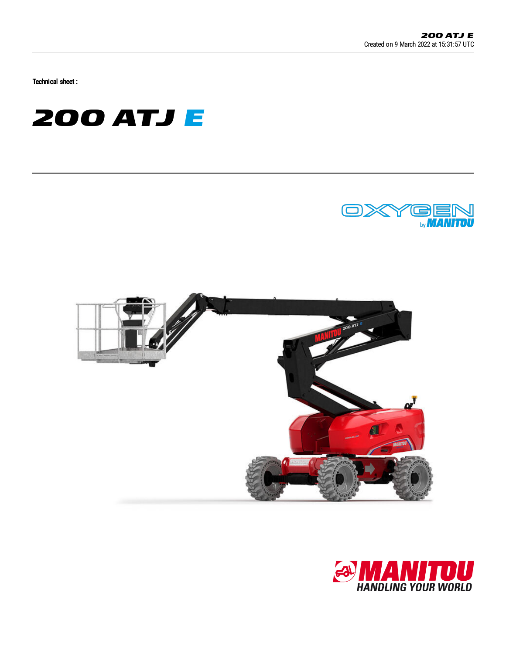Technical sheet :







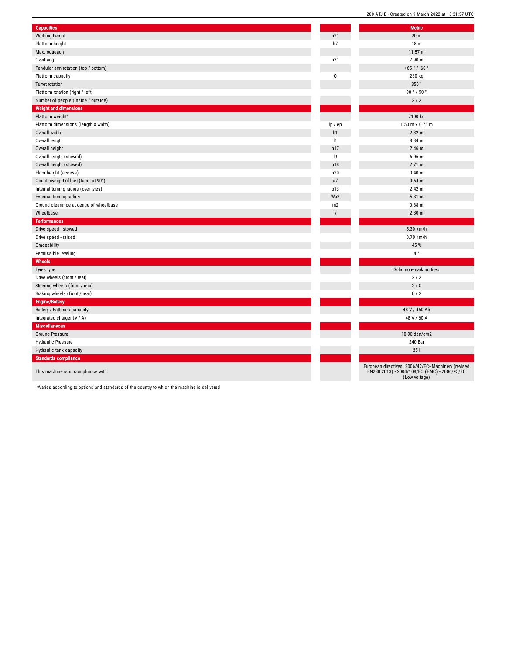| <b>Capacities</b>                       |              | <b>Metric</b>                                                                                                        |
|-----------------------------------------|--------------|----------------------------------------------------------------------------------------------------------------------|
| Working height                          | h21          | 20 <sub>m</sub>                                                                                                      |
| Platform height                         | h7           | 18 <sub>m</sub>                                                                                                      |
| Max. outreach                           |              | 11.57 m                                                                                                              |
| Overhang                                | h31          | 7.90 m                                                                                                               |
| Pendular arm rotation (top / bottom)    |              | +65 $^{\circ}$ / -60 $^{\circ}$                                                                                      |
| Platform capacity                       | 0            | 230 kg                                                                                                               |
| Turret rotation                         |              | 350°                                                                                                                 |
| Platform rotation (right / left)        |              | 90°/90°                                                                                                              |
| Number of people (inside / outside)     |              | 2/2                                                                                                                  |
| <b>Weight and dimensions</b>            |              |                                                                                                                      |
| Platform weight*                        |              | 7100 kg                                                                                                              |
| Platform dimensions (length x width)    | lp / ep      | 1.50 m x 0.75 m                                                                                                      |
| Overall width                           | b1           | 2.32 m                                                                                                               |
| Overall length                          | 1            | 8.34 m                                                                                                               |
| Overall height                          | h17          | $2.46$ m                                                                                                             |
| Overall length (stowed)                 | 9            | $6.06$ m                                                                                                             |
| Overall height (stowed)                 | h18          | 2.71 m                                                                                                               |
| Floor height (access)                   | h20          | 0.40 m                                                                                                               |
| Counterweight offset (turret at 90°)    | a7           | 0.64 m                                                                                                               |
| Internal turning radius (over tyres)    | b13          | 2.42 m                                                                                                               |
| External turning radius                 | Wa3          | 5.31 m                                                                                                               |
| Ground clearance at centre of wheelbase | m2           | $0.38$ m                                                                                                             |
| Wheelbase                               | $\mathsf{v}$ | 2.30 <sub>m</sub>                                                                                                    |
| <b>Performances</b>                     |              |                                                                                                                      |
| Drive speed - stowed                    |              | 5.30 km/h                                                                                                            |
| Drive speed - raised                    |              | 0.70 km/h                                                                                                            |
| Gradeability                            |              | 45 %                                                                                                                 |
| Permissible leveling                    |              | $4~^{\circ}$                                                                                                         |
| Wheels                                  |              |                                                                                                                      |
| Tyres type                              |              | Solid non-marking tires                                                                                              |
| Drive wheels (front / rear)             |              | 2/2                                                                                                                  |
| Steering wheels (front / rear)          |              | 2/0                                                                                                                  |
| Braking wheels (front / rear)           |              | 0/2                                                                                                                  |
| <b>Engine/Battery</b>                   |              |                                                                                                                      |
| Battery / Batteries capacity            |              | 48 V / 460 Ah                                                                                                        |
| Integrated charger (V / A)              |              | 48 V / 60 A                                                                                                          |
| <b>Miscellaneous</b>                    |              |                                                                                                                      |
| <b>Ground Pressure</b>                  |              | 10.90 dan/cm2                                                                                                        |
| <b>Hydraulic Pressure</b>               |              | 240 Bar                                                                                                              |
| Hydraulic tank capacity                 |              | 251                                                                                                                  |
| <b>Standards compliance</b>             |              |                                                                                                                      |
| This machine is in compliance with:     |              | European directives: 2006/42/EC- Machinery (revised<br>EN280:2013) - 2004/108/EC (EMC) - 2006/95/EC<br>(Low voltage) |

200 ATJ E - Created on 9 March 2022 at 15:31:57 UTC

\*Varies according to options and standards of the country to which the machine is delivered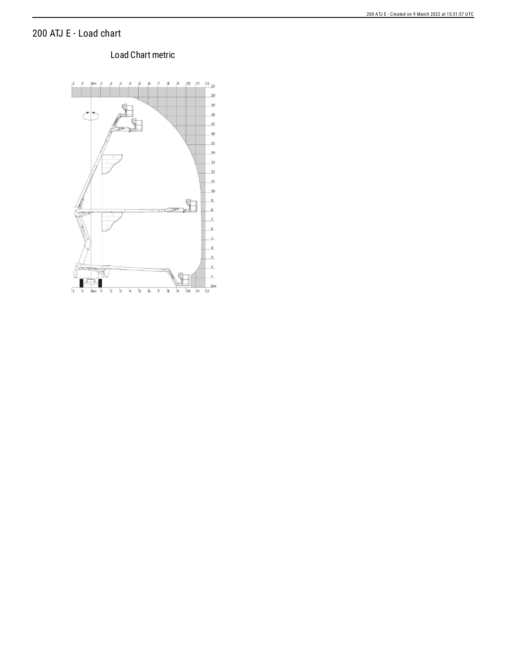## 200 ATJ E - Load chart

## Load Chart metric

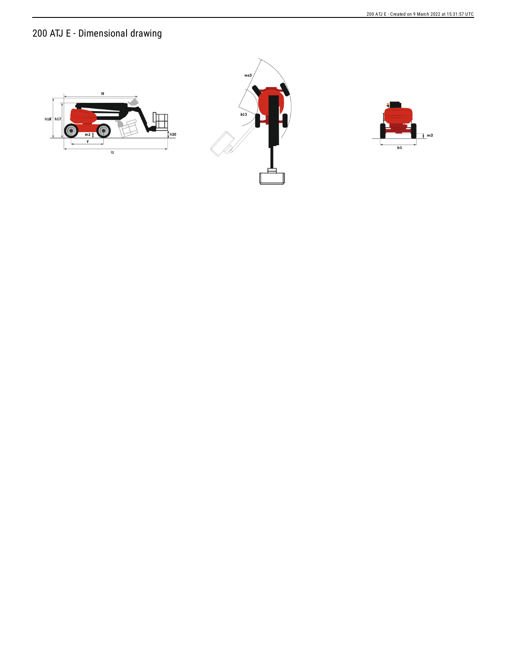200 ATJ E - Created on 9 March 2022 at 15:31:57 UTC

## 200 ATJ E - Dimensional drawing





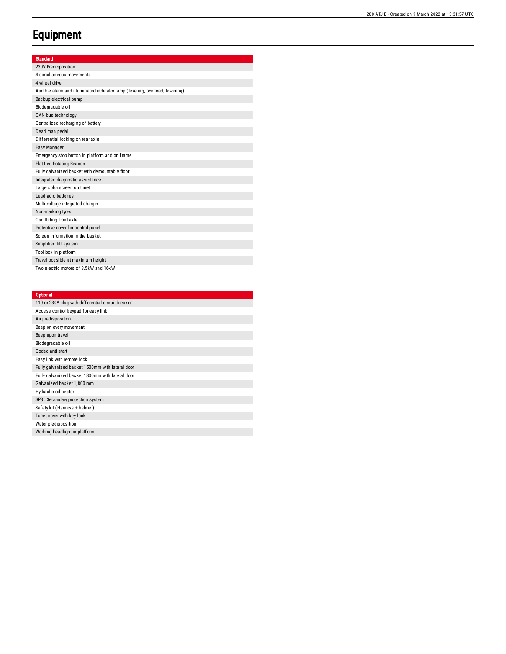## **Equipment**

|  | ann | m |  |
|--|-----|---|--|
|  |     |   |  |

| 230V Predisposition                                                         |
|-----------------------------------------------------------------------------|
| 4 simultaneous movements                                                    |
| 4 wheel drive                                                               |
| Audible alarm and illuminated indicator lamp (leveling, overload, lowering) |
| Backup electrical pump                                                      |
| Biodegradable oil                                                           |
| CAN bus technology                                                          |
| Centralized recharging of battery                                           |
| Dead man pedal                                                              |
| Differential locking on rear axle                                           |
| Easy Manager                                                                |
| Emergency stop button in platform and on frame                              |
| <b>Flat Led Rotating Beacon</b>                                             |
| Fully galvanized basket with demountable floor                              |
| Integrated diagnostic assistance                                            |
| Large color screen on turret                                                |
| Lead acid batteries                                                         |
| Multi-voltage integrated charger                                            |
| Non-marking tyres                                                           |
| Oscillating front axle                                                      |
| Protective cover for control panel                                          |
| Screen information in the basket                                            |
| Simplified lift system                                                      |
| Tool box in platform                                                        |
| Travel possible at maximum height                                           |
| Two electric motors of 8.5kW and 16kW                                       |

| <b>Optional</b>                                    |
|----------------------------------------------------|
| 110 or 230V plug with differential circuit breaker |
| Access control keypad for easy link                |
| Air predisposition                                 |
| Beep on every movement                             |
| Beep upon travel                                   |
| Biodegradable oil                                  |
| Coded anti-start                                   |
| Easy link with remote lock                         |
| Fully galvanized basket 1500mm with lateral door   |
| Fully galvanized basket 1800mm with lateral door   |
| Galvanized basket 1,800 mm                         |
| Hydraulic oil heater                               |
| SPS : Secondary protection system                  |
| Safety kit (Hamess + helmet)                       |
| Turret cover with key lock                         |
| Water predisposition                               |
| Working headlight in platform                      |